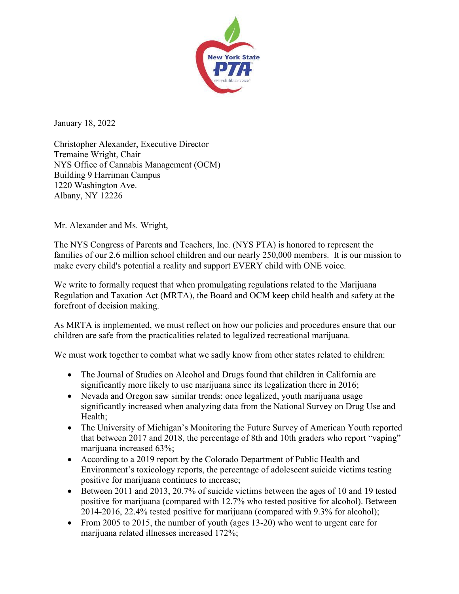

January 18, 2022

Christopher Alexander, Executive Director Tremaine Wright, Chair NYS Office of Cannabis Management (OCM) Building 9 Harriman Campus 1220 Washington Ave. Albany, NY 12226

Mr. Alexander and Ms. Wright,

The NYS Congress of Parents and Teachers, Inc. (NYS PTA) is honored to represent the families of our 2.6 million school children and our nearly 250,000 members. It is our mission to make every child's potential a reality and support EVERY child with ONE voice.

We write to formally request that when promulgating regulations related to the Marijuana Regulation and Taxation Act (MRTA), the Board and OCM keep child health and safety at the forefront of decision making.

As MRTA is implemented, we must reflect on how our policies and procedures ensure that our children are safe from the practicalities related to legalized recreational marijuana.

We must work together to combat what we sadly know from other states related to children:

- The Journal of Studies on Alcohol and Drugs found that children in California are significantly more likely to use marijuana since its legalization there in 2016;
- Nevada and Oregon saw similar trends: once legalized, youth marijuana usage significantly increased when analyzing data from the National Survey on Drug Use and Health;
- The University of Michigan's Monitoring the Future Survey of American Youth reported that between 2017 and 2018, the percentage of 8th and 10th graders who report "vaping" marijuana increased 63%;
- According to a 2019 report by the Colorado Department of Public Health and Environment's toxicology reports, the percentage of adolescent suicide victims testing positive for marijuana continues to increase;
- Between 2011 and 2013, 20.7% of suicide victims between the ages of 10 and 19 tested positive for marijuana (compared with 12.7% who tested positive for alcohol). Between 2014-2016, 22.4% tested positive for marijuana (compared with 9.3% for alcohol);
- From 2005 to 2015, the number of youth (ages 13-20) who went to urgent care for marijuana related illnesses increased 172%;